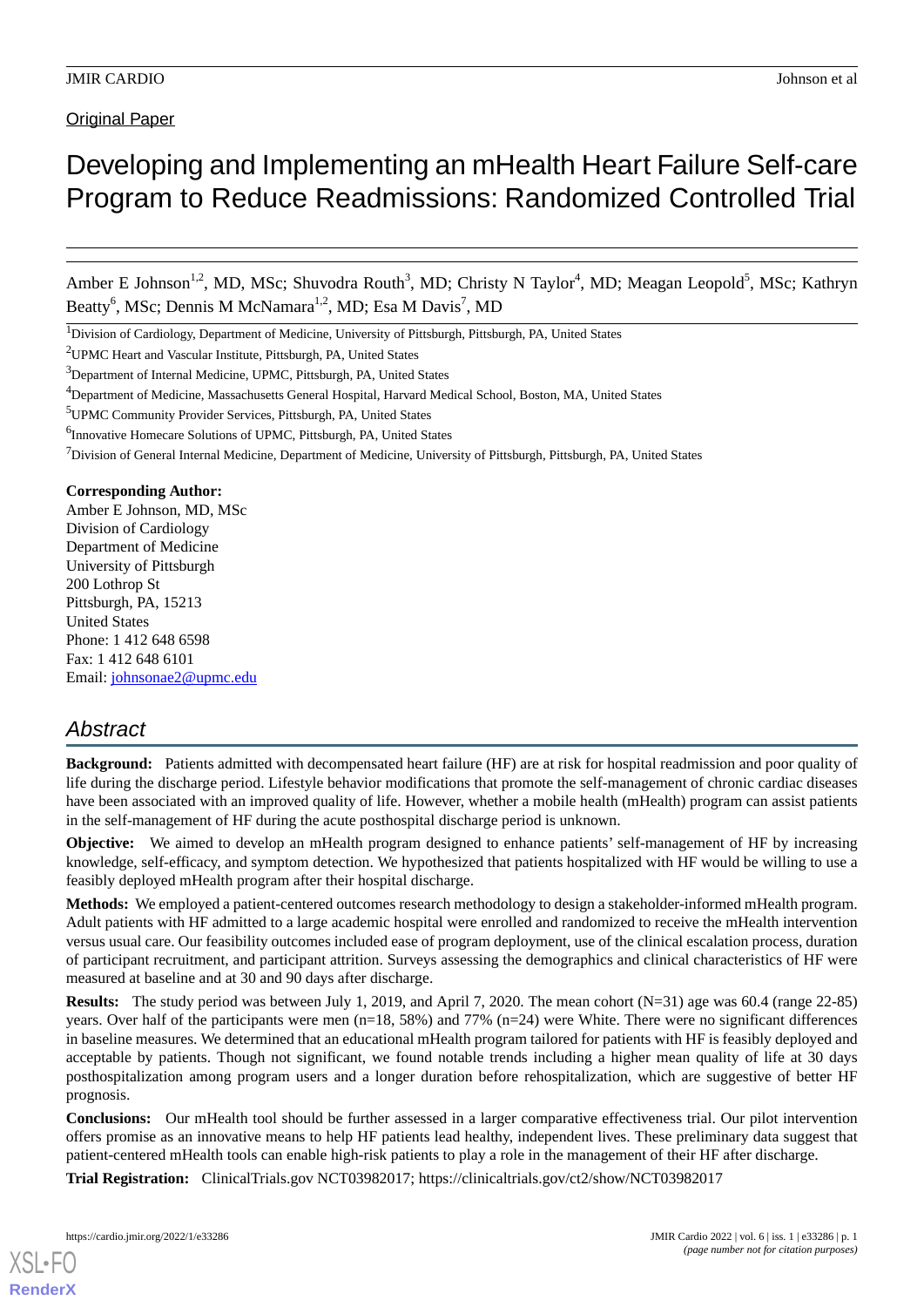**Original Paper** 

# Developing and Implementing an mHealth Heart Failure Self-care Program to Reduce Readmissions: Randomized Controlled Trial

Amber E Johnson<sup>1,2</sup>, MD, MSc; Shuvodra Routh<sup>3</sup>, MD; Christy N Taylor<sup>4</sup>, MD; Meagan Leopold<sup>5</sup>, MSc; Kathryn Beatty<sup>6</sup>, MSc; Dennis M McNamara<sup>1,2</sup>, MD; Esa M Davis<sup>7</sup>, MD

#### **Corresponding Author:**

Amber E Johnson, MD, MSc Division of Cardiology Department of Medicine University of Pittsburgh 200 Lothrop St Pittsburgh, PA, 15213 United States Phone: 1 412 648 6598 Fax: 1 412 648 6101 Email: [johnsonae2@upmc.edu](mailto:johnsonae2@upmc.edu)

# *Abstract*

**Background:** Patients admitted with decompensated heart failure (HF) are at risk for hospital readmission and poor quality of life during the discharge period. Lifestyle behavior modifications that promote the self-management of chronic cardiac diseases have been associated with an improved quality of life. However, whether a mobile health (mHealth) program can assist patients in the self-management of HF during the acute posthospital discharge period is unknown.

**Objective:** We aimed to develop an mHealth program designed to enhance patients' self-management of HF by increasing knowledge, self-efficacy, and symptom detection. We hypothesized that patients hospitalized with HF would be willing to use a feasibly deployed mHealth program after their hospital discharge.

**Methods:** We employed a patient-centered outcomes research methodology to design a stakeholder-informed mHealth program. Adult patients with HF admitted to a large academic hospital were enrolled and randomized to receive the mHealth intervention versus usual care. Our feasibility outcomes included ease of program deployment, use of the clinical escalation process, duration of participant recruitment, and participant attrition. Surveys assessing the demographics and clinical characteristics of HF were measured at baseline and at 30 and 90 days after discharge.

**Results:** The study period was between July 1, 2019, and April 7, 2020. The mean cohort (N=31) age was 60.4 (range 22-85) years. Over half of the participants were men  $(n=18, 58%)$  and 77%  $(n=24)$  were White. There were no significant differences in baseline measures. We determined that an educational mHealth program tailored for patients with HF is feasibly deployed and acceptable by patients. Though not significant, we found notable trends including a higher mean quality of life at 30 days posthospitalization among program users and a longer duration before rehospitalization, which are suggestive of better HF prognosis.

**Conclusions:** Our mHealth tool should be further assessed in a larger comparative effectiveness trial. Our pilot intervention offers promise as an innovative means to help HF patients lead healthy, independent lives. These preliminary data suggest that patient-centered mHealth tools can enable high-risk patients to play a role in the management of their HF after discharge.

**Trial Registration:** ClinicalTrials.gov NCT03982017; https://clinicaltrials.gov/ct2/show/NCT03982017

<sup>&</sup>lt;sup>1</sup>Division of Cardiology, Department of Medicine, University of Pittsburgh, Pittsburgh, PA, United States

<sup>2</sup>UPMC Heart and Vascular Institute, Pittsburgh, PA, United States

<sup>&</sup>lt;sup>3</sup>Department of Internal Medicine, UPMC, Pittsburgh, PA, United States

<sup>4</sup>Department of Medicine, Massachusetts General Hospital, Harvard Medical School, Boston, MA, United States

<sup>5</sup>UPMC Community Provider Services, Pittsburgh, PA, United States

<sup>&</sup>lt;sup>6</sup>Innovative Homecare Solutions of UPMC, Pittsburgh, PA, United States

 $<sup>7</sup>$ Division of General Internal Medicine, Department of Medicine, University of Pittsburgh, Pittsburgh, PA, United States</sup>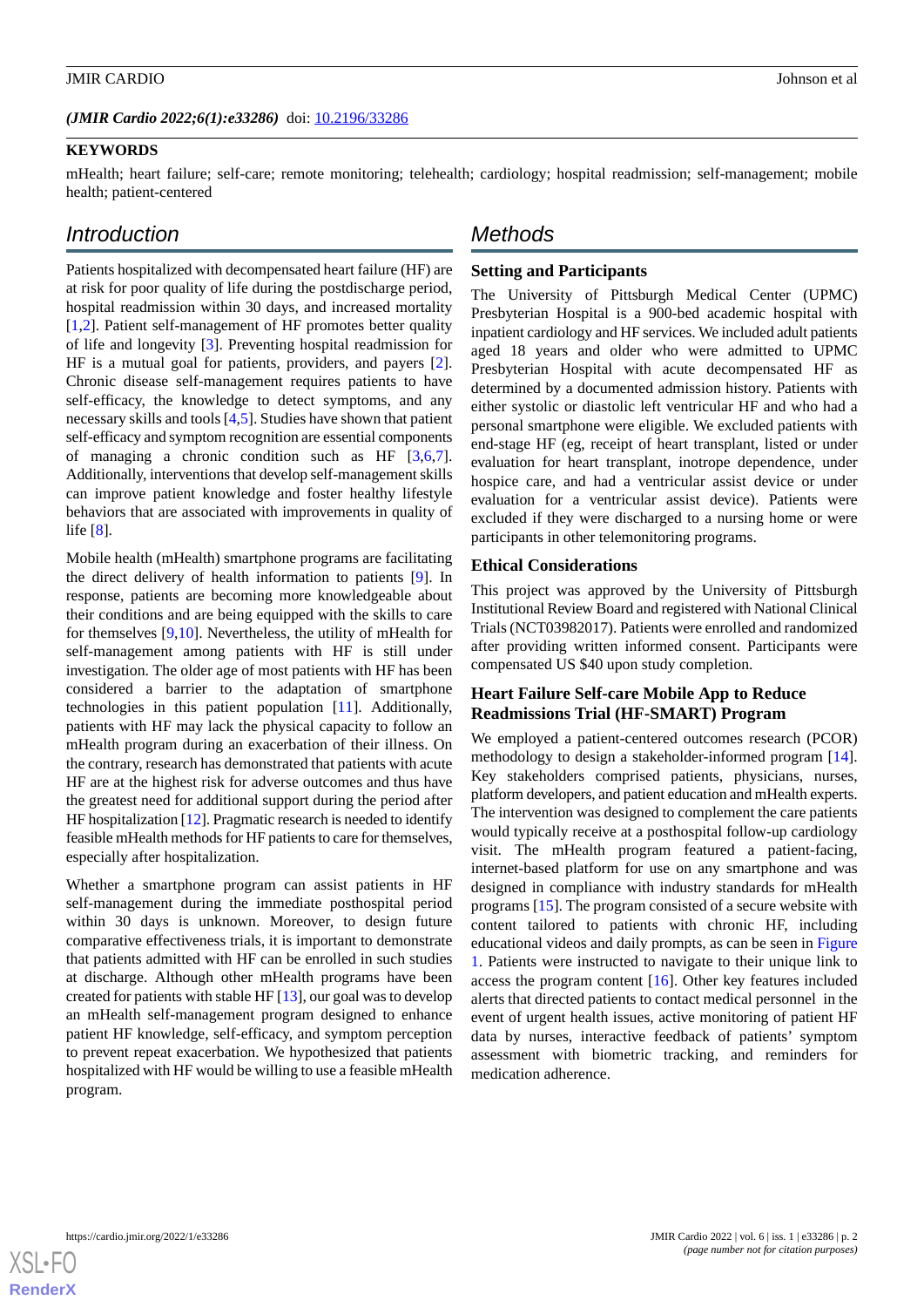# **KEYWORDS**

mHealth; heart failure; self-care; remote monitoring; telehealth; cardiology; hospital readmission; self-management; mobile health; patient-centered

# *Introduction*

Patients hospitalized with decompensated heart failure (HF) are at risk for poor quality of life during the postdischarge period, hospital readmission within 30 days, and increased mortality [[1](#page-6-0)[,2](#page-6-1)]. Patient self-management of HF promotes better quality of life and longevity [[3\]](#page-6-2). Preventing hospital readmission for HF is a mutual goal for patients, providers, and payers [[2\]](#page-6-1). Chronic disease self-management requires patients to have self-efficacy, the knowledge to detect symptoms, and any necessary skills and tools [[4](#page-6-3)[,5](#page-6-4)]. Studies have shown that patient self-efficacy and symptom recognition are essential components of managing a chronic condition such as HF [[3](#page-6-2)[,6](#page-6-5),[7\]](#page-6-6). Additionally, interventions that develop self-management skills can improve patient knowledge and foster healthy lifestyle behaviors that are associated with improvements in quality of life [[8\]](#page-6-7).

Mobile health (mHealth) smartphone programs are facilitating the direct delivery of health information to patients [[9\]](#page-7-0). In response, patients are becoming more knowledgeable about their conditions and are being equipped with the skills to care for themselves [\[9](#page-7-0),[10\]](#page-7-1). Nevertheless, the utility of mHealth for self-management among patients with HF is still under investigation. The older age of most patients with HF has been considered a barrier to the adaptation of smartphone technologies in this patient population [[11\]](#page-7-2). Additionally, patients with HF may lack the physical capacity to follow an mHealth program during an exacerbation of their illness. On the contrary, research has demonstrated that patients with acute HF are at the highest risk for adverse outcomes and thus have the greatest need for additional support during the period after HF hospitalization [[12\]](#page-7-3). Pragmatic research is needed to identify feasible mHealth methods for HF patients to care for themselves, especially after hospitalization.

Whether a smartphone program can assist patients in HF self-management during the immediate posthospital period within 30 days is unknown. Moreover, to design future comparative effectiveness trials, it is important to demonstrate that patients admitted with HF can be enrolled in such studies at discharge. Although other mHealth programs have been created for patients with stable HF [[13\]](#page-7-4), our goal was to develop an mHealth self-management program designed to enhance patient HF knowledge, self-efficacy, and symptom perception to prevent repeat exacerbation. We hypothesized that patients hospitalized with HF would be willing to use a feasible mHealth program.

# *Methods*

# **Setting and Participants**

The University of Pittsburgh Medical Center (UPMC) Presbyterian Hospital is a 900-bed academic hospital with inpatient cardiology and HF services. We included adult patients aged 18 years and older who were admitted to UPMC Presbyterian Hospital with acute decompensated HF as determined by a documented admission history. Patients with either systolic or diastolic left ventricular HF and who had a personal smartphone were eligible. We excluded patients with end-stage HF (eg, receipt of heart transplant, listed or under evaluation for heart transplant, inotrope dependence, under hospice care, and had a ventricular assist device or under evaluation for a ventricular assist device). Patients were excluded if they were discharged to a nursing home or were participants in other telemonitoring programs.

#### **Ethical Considerations**

This project was approved by the University of Pittsburgh Institutional Review Board and registered with National Clinical Trials (NCT03982017). Patients were enrolled and randomized after providing written informed consent. Participants were compensated US \$40 upon study completion.

# **Heart Failure Self-care Mobile App to Reduce Readmissions Trial (HF-SMART) Program**

We employed a patient-centered outcomes research (PCOR) methodology to design a stakeholder-informed program [[14\]](#page-7-5). Key stakeholders comprised patients, physicians, nurses, platform developers, and patient education and mHealth experts. The intervention was designed to complement the care patients would typically receive at a posthospital follow-up cardiology visit. The mHealth program featured a patient-facing, internet-based platform for use on any smartphone and was designed in compliance with industry standards for mHealth programs [[15\]](#page-7-6). The program consisted of a secure website with content tailored to patients with chronic HF, including educational videos and daily prompts, as can be seen in [Figure](#page-2-0) [1.](#page-2-0) Patients were instructed to navigate to their unique link to access the program content [[16\]](#page-7-7). Other key features included alerts that directed patients to contact medical personnel in the event of urgent health issues, active monitoring of patient HF data by nurses, interactive feedback of patients' symptom assessment with biometric tracking, and reminders for medication adherence.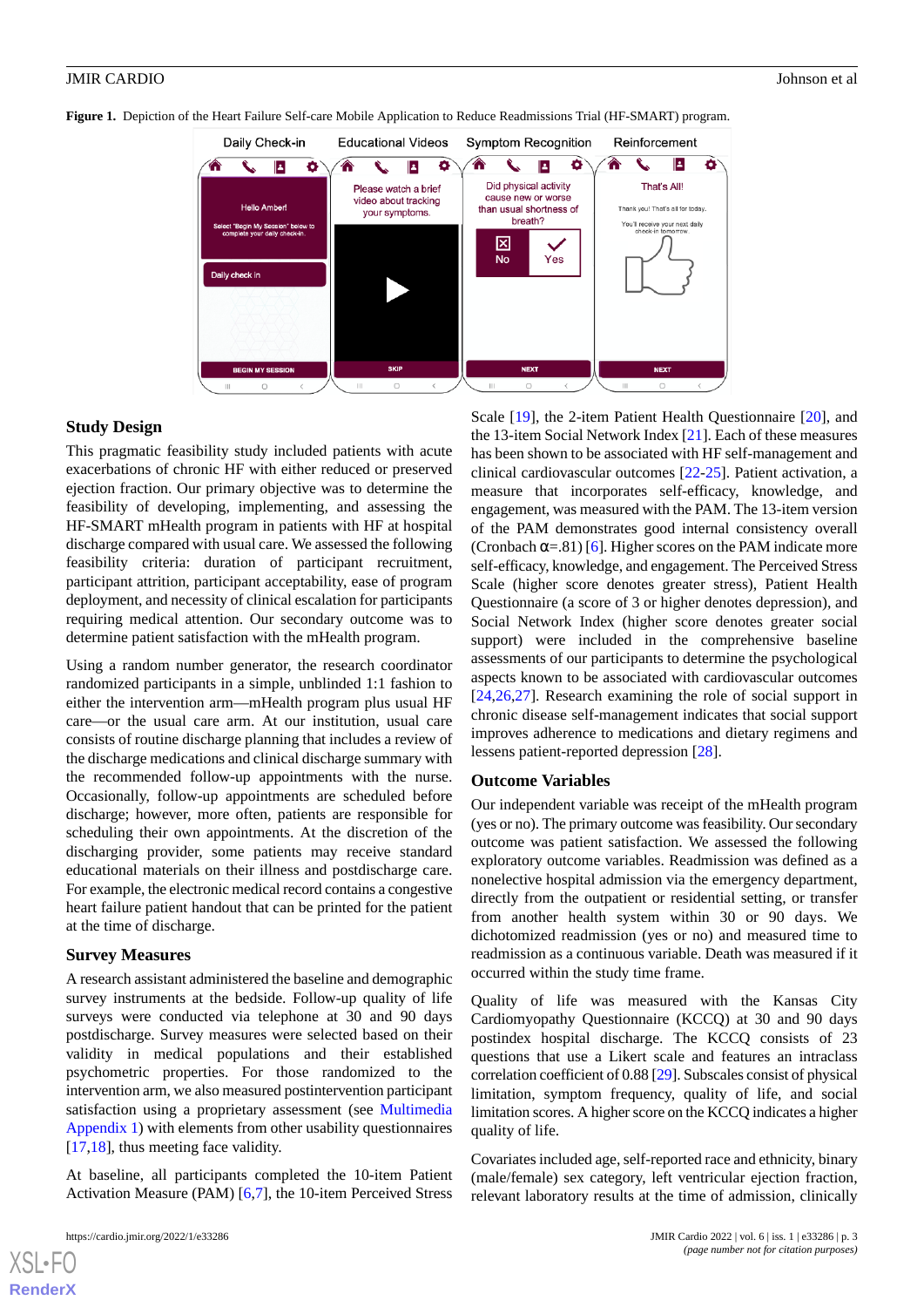

<span id="page-2-0"></span>**Figure 1.** Depiction of the Heart Failure Self-care Mobile Application to Reduce Readmissions Trial (HF-SMART) program.

## **Study Design**

This pragmatic feasibility study included patients with acute exacerbations of chronic HF with either reduced or preserved ejection fraction. Our primary objective was to determine the feasibility of developing, implementing, and assessing the HF-SMART mHealth program in patients with HF at hospital discharge compared with usual care. We assessed the following feasibility criteria: duration of participant recruitment, participant attrition, participant acceptability, ease of program deployment, and necessity of clinical escalation for participants requiring medical attention. Our secondary outcome was to determine patient satisfaction with the mHealth program.

Using a random number generator, the research coordinator randomized participants in a simple, unblinded 1:1 fashion to either the intervention arm—mHealth program plus usual HF care—or the usual care arm. At our institution, usual care consists of routine discharge planning that includes a review of the discharge medications and clinical discharge summary with the recommended follow-up appointments with the nurse. Occasionally, follow-up appointments are scheduled before discharge; however, more often, patients are responsible for scheduling their own appointments. At the discretion of the discharging provider, some patients may receive standard educational materials on their illness and postdischarge care. For example, the electronic medical record contains a congestive heart failure patient handout that can be printed for the patient at the time of discharge.

#### **Survey Measures**

A research assistant administered the baseline and demographic survey instruments at the bedside. Follow-up quality of life surveys were conducted via telephone at 30 and 90 days postdischarge. Survey measures were selected based on their validity in medical populations and their established psychometric properties. For those randomized to the intervention arm, we also measured postintervention participant satisfaction using a proprietary assessment (see [Multimedia](#page-6-8) [Appendix 1](#page-6-8)) with elements from other usability questionnaires [[17](#page-7-8)[,18](#page-7-9)], thus meeting face validity.

At baseline, all participants completed the 10-item Patient Activation Measure (PAM) [[6](#page-6-5)[,7\]](#page-6-6), the 10-item Perceived Stress

[XSL](http://www.w3.org/Style/XSL)•FO **[RenderX](http://www.renderx.com/)**

Scale [[19\]](#page-7-10), the 2-item Patient Health Questionnaire [\[20](#page-7-11)], and the 13-item Social Network Index [[21\]](#page-7-12). Each of these measures has been shown to be associated with HF self-management and clinical cardiovascular outcomes [\[22](#page-7-13)-[25\]](#page-7-14). Patient activation, a measure that incorporates self-efficacy, knowledge, and engagement, was measured with the PAM. The 13-item version of the PAM demonstrates good internal consistency overall (Cronbach  $\alpha$ =.81) [[6\]](#page-6-5). Higher scores on the PAM indicate more self-efficacy, knowledge, and engagement. The Perceived Stress Scale (higher score denotes greater stress), Patient Health Questionnaire (a score of 3 or higher denotes depression), and Social Network Index (higher score denotes greater social support) were included in the comprehensive baseline assessments of our participants to determine the psychological aspects known to be associated with cardiovascular outcomes [[24,](#page-7-15)[26,](#page-7-16)[27\]](#page-7-17). Research examining the role of social support in chronic disease self-management indicates that social support improves adherence to medications and dietary regimens and lessens patient-reported depression [\[28](#page-7-18)].

## **Outcome Variables**

Our independent variable was receipt of the mHealth program (yes or no). The primary outcome was feasibility. Our secondary outcome was patient satisfaction. We assessed the following exploratory outcome variables. Readmission was defined as a nonelective hospital admission via the emergency department, directly from the outpatient or residential setting, or transfer from another health system within 30 or 90 days. We dichotomized readmission (yes or no) and measured time to readmission as a continuous variable. Death was measured if it occurred within the study time frame.

Quality of life was measured with the Kansas City Cardiomyopathy Questionnaire (KCCQ) at 30 and 90 days postindex hospital discharge. The KCCQ consists of 23 questions that use a Likert scale and features an intraclass correlation coefficient of 0.88 [\[29](#page-7-19)]. Subscales consist of physical limitation, symptom frequency, quality of life, and social limitation scores. A higher score on the KCCQ indicates a higher quality of life.

Covariates included age, self-reported race and ethnicity, binary (male/female) sex category, left ventricular ejection fraction, relevant laboratory results at the time of admission, clinically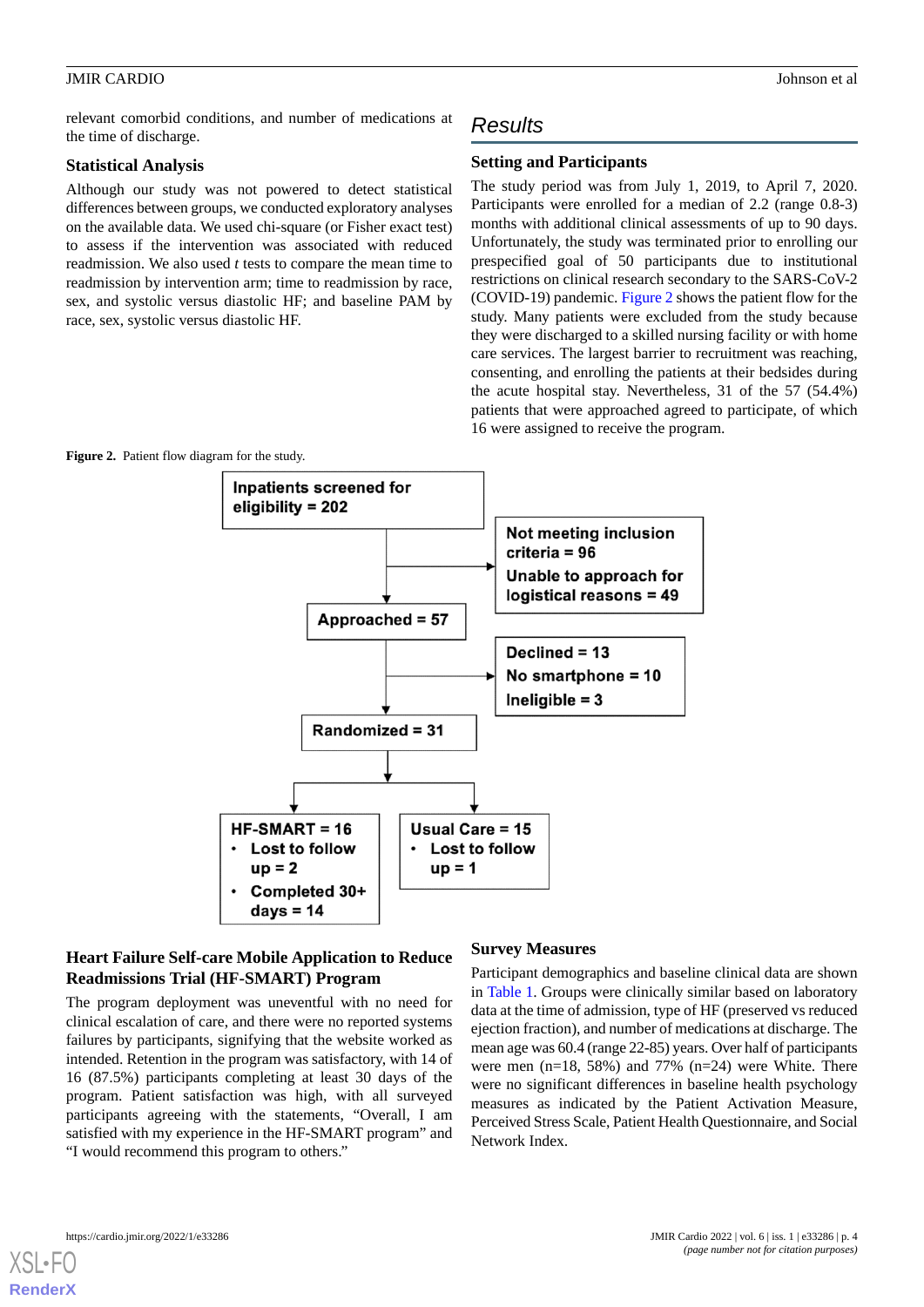relevant comorbid conditions, and number of medications at the time of discharge.

## **Statistical Analysis**

Although our study was not powered to detect statistical differences between groups, we conducted exploratory analyses on the available data. We used chi-square (or Fisher exact test) to assess if the intervention was associated with reduced readmission. We also used *t* tests to compare the mean time to readmission by intervention arm; time to readmission by race, sex, and systolic versus diastolic HF; and baseline PAM by race, sex, systolic versus diastolic HF.

# *Results*

# **Setting and Participants**

The study period was from July 1, 2019, to April 7, 2020. Participants were enrolled for a median of 2.2 (range 0.8-3) months with additional clinical assessments of up to 90 days. Unfortunately, the study was terminated prior to enrolling our prespecified goal of 50 participants due to institutional restrictions on clinical research secondary to the SARS-CoV-2 (COVID-19) pandemic. [Figure 2](#page-3-0) shows the patient flow for the study. Many patients were excluded from the study because they were discharged to a skilled nursing facility or with home care services. The largest barrier to recruitment was reaching, consenting, and enrolling the patients at their bedsides during the acute hospital stay. Nevertheless, 31 of the 57 (54.4%) patients that were approached agreed to participate, of which 16 were assigned to receive the program.

<span id="page-3-0"></span>

# **Heart Failure Self-care Mobile Application to Reduce Readmissions Trial (HF-SMART) Program**

The program deployment was uneventful with no need for clinical escalation of care, and there were no reported systems failures by participants, signifying that the website worked as intended. Retention in the program was satisfactory, with 14 of 16 (87.5%) participants completing at least 30 days of the program. Patient satisfaction was high, with all surveyed participants agreeing with the statements, "Overall, I am satisfied with my experience in the HF-SMART program" and "I would recommend this program to others."

## **Survey Measures**

Participant demographics and baseline clinical data are shown in [Table 1.](#page-4-0) Groups were clinically similar based on laboratory data at the time of admission, type of HF (preserved vs reduced ejection fraction), and number of medications at discharge. The mean age was 60.4 (range 22-85) years. Over half of participants were men (n=18, 58%) and 77% (n=24) were White. There were no significant differences in baseline health psychology measures as indicated by the Patient Activation Measure, Perceived Stress Scale, Patient Health Questionnaire, and Social Network Index.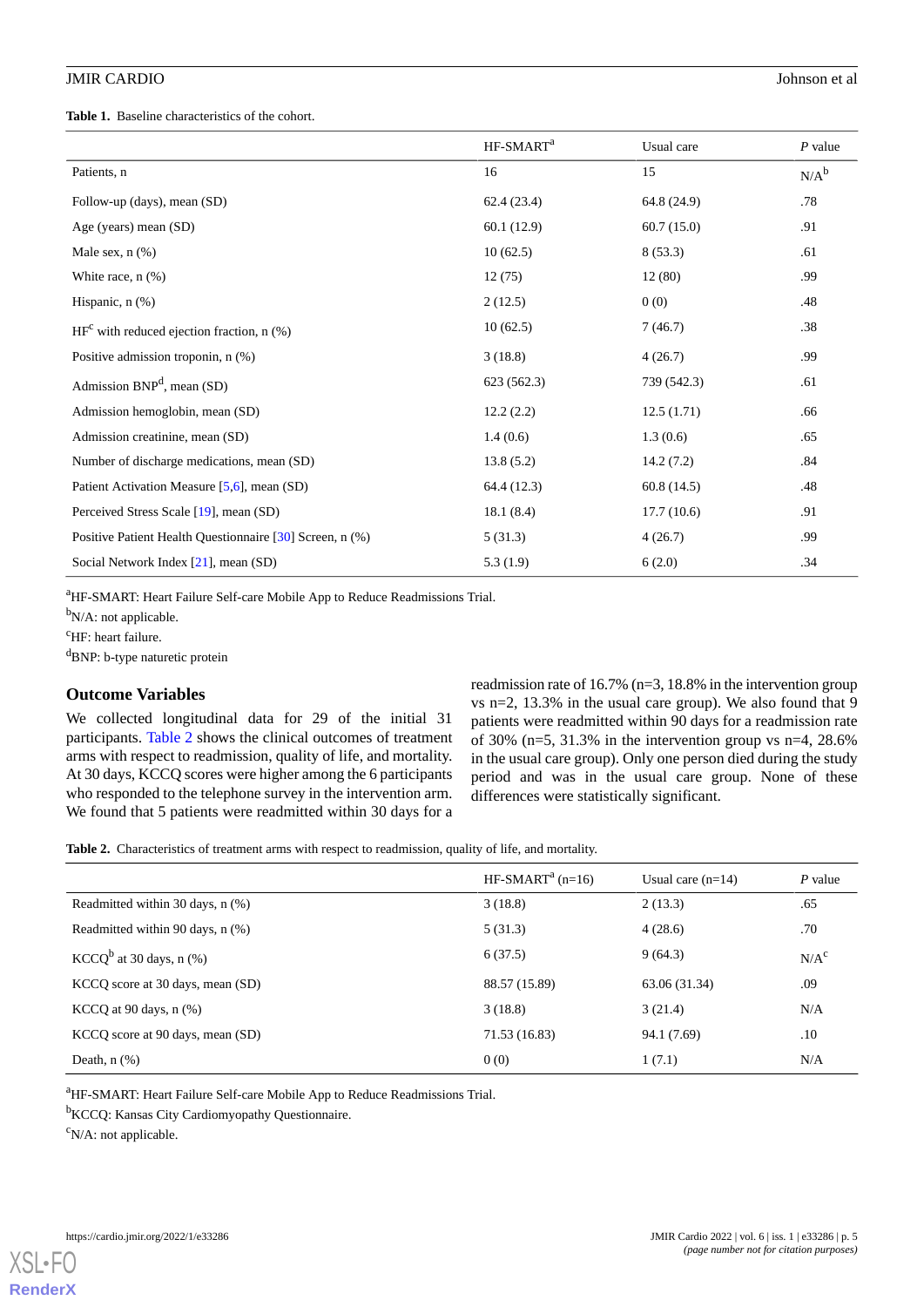<span id="page-4-0"></span>**Table 1.** Baseline characteristics of the cohort.

|                                                          | HF-SMART <sup>a</sup> | Usual care  | $P$ value |
|----------------------------------------------------------|-----------------------|-------------|-----------|
| Patients, n                                              | 16                    | 15          | $N/A^b$   |
| Follow-up (days), mean (SD)                              | 62.4(23.4)            | 64.8 (24.9) | .78       |
| Age (years) mean (SD)                                    | 60.1(12.9)            | 60.7(15.0)  | .91       |
| Male sex, $n$ $(\%)$                                     | 10(62.5)              | 8(53.3)     | .61       |
| White race, $n$ $(\%)$                                   | 12(75)                | 12(80)      | .99       |
| Hispanic, $n$ $(\%)$                                     | 2(12.5)               | 0(0)        | .48       |
| $HFc$ with reduced ejection fraction, n (%)              | 10(62.5)              | 7(46.7)     | .38       |
| Positive admission troponin, n (%)                       | 3(18.8)               | 4(26.7)     | .99       |
| Admission $BNP^d$ , mean (SD)                            | 623 (562.3)           | 739 (542.3) | .61       |
| Admission hemoglobin, mean (SD)                          | 12.2(2.2)             | 12.5(1.71)  | .66       |
| Admission creatinine, mean (SD)                          | 1.4(0.6)              | 1.3(0.6)    | .65       |
| Number of discharge medications, mean (SD)               | 13.8(5.2)             | 14.2(7.2)   | .84       |
| Patient Activation Measure [5,6], mean (SD)              | 64.4 (12.3)           | 60.8(14.5)  | .48       |
| Perceived Stress Scale [19], mean (SD)                   | 18.1(8.4)             | 17.7(10.6)  | .91       |
| Positive Patient Health Questionnaire [30] Screen, n (%) | 5(31.3)               | 4(26.7)     | .99       |
| Social Network Index [21], mean (SD)                     | 5.3(1.9)              | 6(2.0)      | .34       |

<sup>a</sup>HF-SMART: Heart Failure Self-care Mobile App to Reduce Readmissions Trial.

 $b_{N/A}$ : not applicable.

<sup>c</sup>HF: heart failure.

 ${}^{d}$ BNP: b-type naturetic protein

# **Outcome Variables**

<span id="page-4-1"></span>We collected longitudinal data for 29 of the initial 31 participants. [Table 2](#page-4-1) shows the clinical outcomes of treatment arms with respect to readmission, quality of life, and mortality. At 30 days, KCCQ scores were higher among the 6 participants who responded to the telephone survey in the intervention arm. We found that 5 patients were readmitted within 30 days for a

readmission rate of 16.7% (n=3, 18.8% in the intervention group vs n=2, 13.3% in the usual care group). We also found that 9 patients were readmitted within 90 days for a readmission rate of 30% (n=5, 31.3% in the intervention group vs n=4, 28.6%) in the usual care group). Only one person died during the study period and was in the usual care group. None of these differences were statistically significant.

**Table 2.** Characteristics of treatment arms with respect to readmission, quality of life, and mortality.

|                                    | $HF-SMARTa$ (n=16) | Usual care $(n=14)$ | $P$ value        |
|------------------------------------|--------------------|---------------------|------------------|
| Readmitted within 30 days, $n$ (%) | 3(18.8)            | 2(13.3)             | .65              |
| Readmitted within 90 days, n (%)   | 5(31.3)            | 4(28.6)             | .70              |
| $KCCQ^b$ at 30 days, n $(\%)$      | 6(37.5)            | 9(64.3)             | N/A <sup>c</sup> |
| KCCQ score at 30 days, mean (SD)   | 88.57 (15.89)      | 63.06 (31.34)       | .09              |
| KCCQ at 90 days, n (%)             | 3(18.8)            | 3(21.4)             | N/A              |
| KCCQ score at 90 days, mean (SD)   | 71.53 (16.83)      | 94.1 (7.69)         | .10              |
| Death, $n$ $(\%)$                  | 0(0)               | 1(7.1)              | N/A              |

<sup>a</sup>HF-SMART: Heart Failure Self-care Mobile App to Reduce Readmissions Trial.

<sup>b</sup>KCCQ: Kansas City Cardiomyopathy Questionnaire.

 $\rm^c$ N/A: not applicable.



**[RenderX](http://www.renderx.com/)**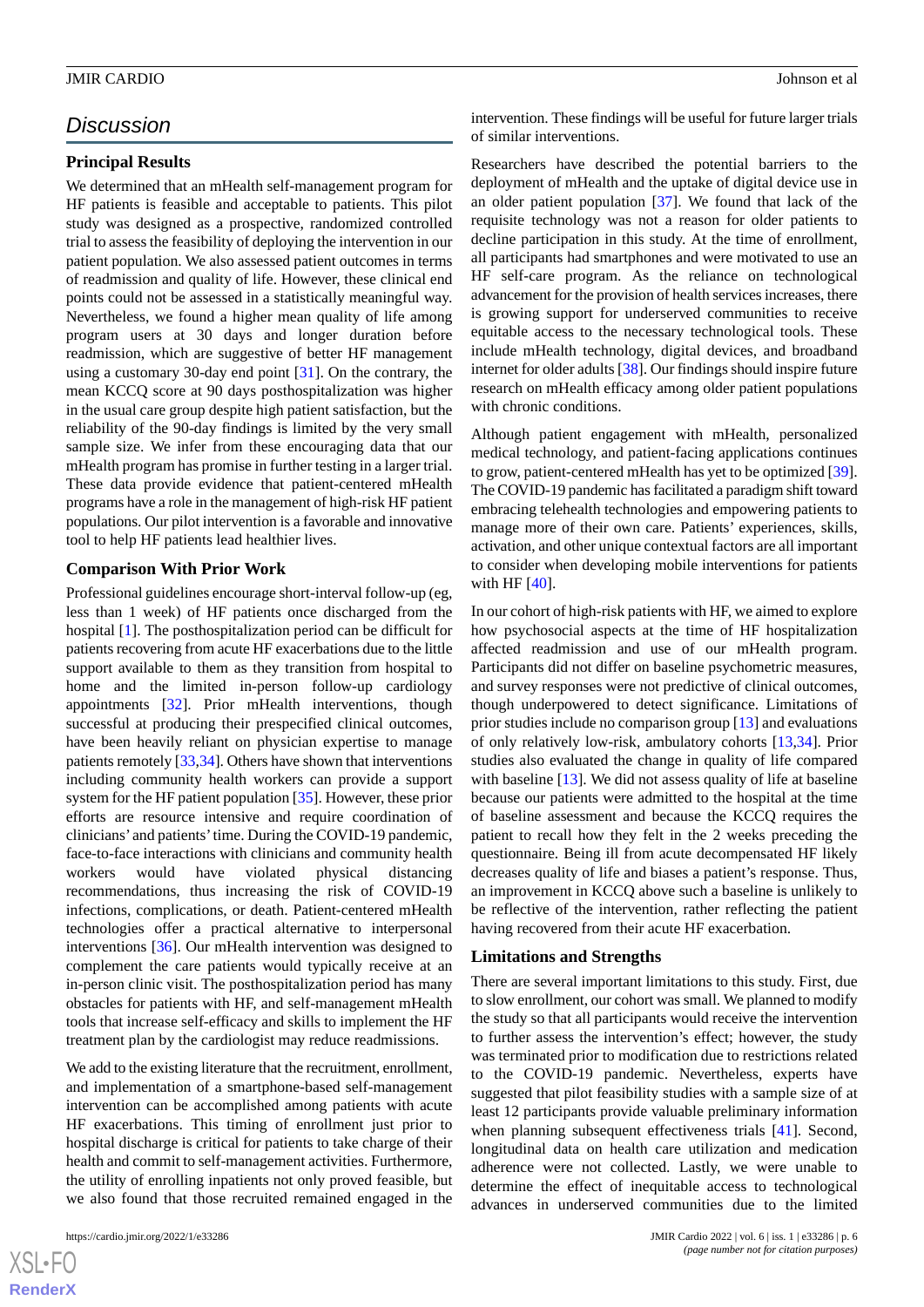# *Discussion*

# **Principal Results**

We determined that an mHealth self-management program for HF patients is feasible and acceptable to patients. This pilot study was designed as a prospective, randomized controlled trial to assess the feasibility of deploying the intervention in our patient population. We also assessed patient outcomes in terms of readmission and quality of life. However, these clinical end points could not be assessed in a statistically meaningful way. Nevertheless, we found a higher mean quality of life among program users at 30 days and longer duration before readmission, which are suggestive of better HF management using a customary 30-day end point [[31\]](#page-7-21). On the contrary, the mean KCCQ score at 90 days posthospitalization was higher in the usual care group despite high patient satisfaction, but the reliability of the 90-day findings is limited by the very small sample size. We infer from these encouraging data that our mHealth program has promise in further testing in a larger trial. These data provide evidence that patient-centered mHealth programs have a role in the management of high-risk HF patient populations. Our pilot intervention is a favorable and innovative tool to help HF patients lead healthier lives.

#### **Comparison With Prior Work**

Professional guidelines encourage short-interval follow-up (eg, less than 1 week) of HF patients once discharged from the hospital [\[1](#page-6-0)]. The posthospitalization period can be difficult for patients recovering from acute HF exacerbations due to the little support available to them as they transition from hospital to home and the limited in-person follow-up cardiology appointments [[32\]](#page-7-22). Prior mHealth interventions, though successful at producing their prespecified clinical outcomes, have been heavily reliant on physician expertise to manage patients remotely [\[33](#page-8-0)[,34](#page-8-1)]. Others have shown that interventions including community health workers can provide a support system for the HF patient population [[35\]](#page-8-2). However, these prior efforts are resource intensive and require coordination of clinicians' and patients'time. During the COVID-19 pandemic, face-to-face interactions with clinicians and community health workers would have violated physical distancing recommendations, thus increasing the risk of COVID-19 infections, complications, or death. Patient-centered mHealth technologies offer a practical alternative to interpersonal interventions [[36\]](#page-8-3). Our mHealth intervention was designed to complement the care patients would typically receive at an in-person clinic visit. The posthospitalization period has many obstacles for patients with HF, and self-management mHealth tools that increase self-efficacy and skills to implement the HF treatment plan by the cardiologist may reduce readmissions.

We add to the existing literature that the recruitment, enrollment, and implementation of a smartphone-based self-management intervention can be accomplished among patients with acute HF exacerbations. This timing of enrollment just prior to hospital discharge is critical for patients to take charge of their health and commit to self-management activities. Furthermore, the utility of enrolling inpatients not only proved feasible, but we also found that those recruited remained engaged in the

 $XSI - F($ **[RenderX](http://www.renderx.com/)** intervention. These findings will be useful for future larger trials of similar interventions.

Researchers have described the potential barriers to the deployment of mHealth and the uptake of digital device use in an older patient population  $[37]$  $[37]$ . We found that lack of the requisite technology was not a reason for older patients to decline participation in this study. At the time of enrollment, all participants had smartphones and were motivated to use an HF self-care program. As the reliance on technological advancement for the provision of health services increases, there is growing support for underserved communities to receive equitable access to the necessary technological tools. These include mHealth technology, digital devices, and broadband internet for older adults [\[38](#page-8-5)]. Our findings should inspire future research on mHealth efficacy among older patient populations with chronic conditions.

Although patient engagement with mHealth, personalized medical technology, and patient-facing applications continues to grow, patient-centered mHealth has yet to be optimized [[39\]](#page-8-6). The COVID-19 pandemic has facilitated a paradigm shift toward embracing telehealth technologies and empowering patients to manage more of their own care. Patients' experiences, skills, activation, and other unique contextual factors are all important to consider when developing mobile interventions for patients with HF [\[40](#page-8-7)].

In our cohort of high-risk patients with HF, we aimed to explore how psychosocial aspects at the time of HF hospitalization affected readmission and use of our mHealth program. Participants did not differ on baseline psychometric measures, and survey responses were not predictive of clinical outcomes, though underpowered to detect significance. Limitations of prior studies include no comparison group [[13\]](#page-7-4) and evaluations of only relatively low-risk, ambulatory cohorts [\[13](#page-7-4),[34\]](#page-8-1). Prior studies also evaluated the change in quality of life compared with baseline [\[13](#page-7-4)]. We did not assess quality of life at baseline because our patients were admitted to the hospital at the time of baseline assessment and because the KCCQ requires the patient to recall how they felt in the 2 weeks preceding the questionnaire. Being ill from acute decompensated HF likely decreases quality of life and biases a patient's response. Thus, an improvement in KCCQ above such a baseline is unlikely to be reflective of the intervention, rather reflecting the patient having recovered from their acute HF exacerbation.

#### **Limitations and Strengths**

There are several important limitations to this study. First, due to slow enrollment, our cohort was small. We planned to modify the study so that all participants would receive the intervention to further assess the intervention's effect; however, the study was terminated prior to modification due to restrictions related to the COVID-19 pandemic. Nevertheless, experts have suggested that pilot feasibility studies with a sample size of at least 12 participants provide valuable preliminary information when planning subsequent effectiveness trials [[41\]](#page-8-8). Second, longitudinal data on health care utilization and medication adherence were not collected. Lastly, we were unable to determine the effect of inequitable access to technological advances in underserved communities due to the limited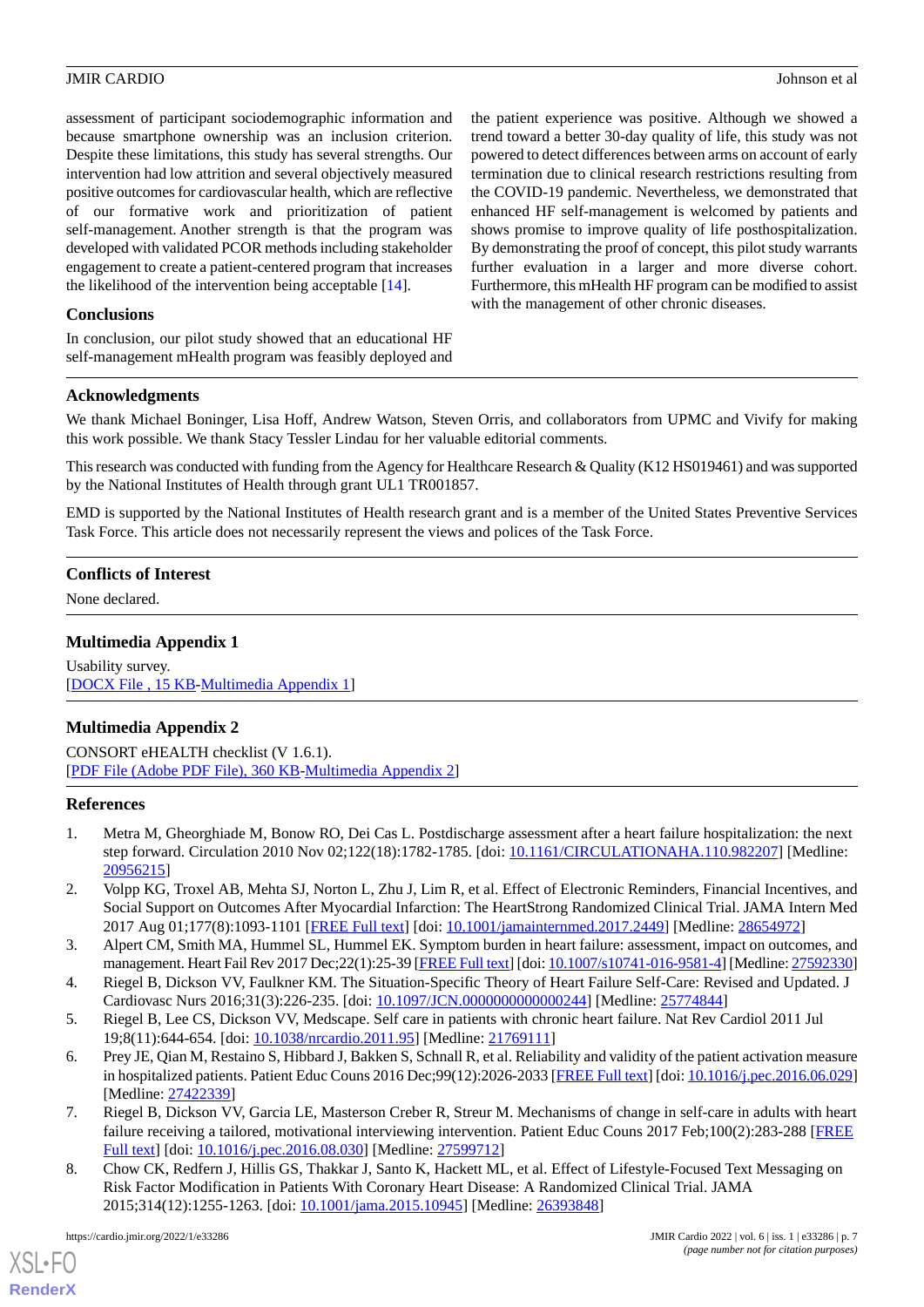assessment of participant sociodemographic information and because smartphone ownership was an inclusion criterion. Despite these limitations, this study has several strengths. Our intervention had low attrition and several objectively measured positive outcomes for cardiovascular health, which are reflective of our formative work and prioritization of patient self-management. Another strength is that the program was developed with validated PCOR methods including stakeholder engagement to create a patient-centered program that increases the likelihood of the intervention being acceptable [\[14](#page-7-5)].

# **Conclusions**

In conclusion, our pilot study showed that an educational HF self-management mHealth program was feasibly deployed and the patient experience was positive. Although we showed a trend toward a better 30-day quality of life, this study was not powered to detect differences between arms on account of early termination due to clinical research restrictions resulting from the COVID-19 pandemic. Nevertheless, we demonstrated that enhanced HF self-management is welcomed by patients and shows promise to improve quality of life posthospitalization. By demonstrating the proof of concept, this pilot study warrants further evaluation in a larger and more diverse cohort. Furthermore, this mHealth HF program can be modified to assist with the management of other chronic diseases.

# **Acknowledgments**

We thank Michael Boninger, Lisa Hoff, Andrew Watson, Steven Orris, and collaborators from UPMC and Vivify for making this work possible. We thank Stacy Tessler Lindau for her valuable editorial comments.

This research was conducted with funding from the Agency for Healthcare Research & Quality (K12 HS019461) and was supported by the National Institutes of Health through grant UL1 TR001857.

EMD is supported by the National Institutes of Health research grant and is a member of the United States Preventive Services Task Force. This article does not necessarily represent the views and polices of the Task Force.

# <span id="page-6-8"></span>**Conflicts of Interest**

None declared.

# **Multimedia Appendix 1**

Usability survey. [[DOCX File , 15 KB](https://jmir.org/api/download?alt_name=cardio_v6i1e33286_app1.docx&filename=db9c304da2edb785265f0617edcfb1ee.docx)-[Multimedia Appendix 1\]](https://jmir.org/api/download?alt_name=cardio_v6i1e33286_app1.docx&filename=db9c304da2edb785265f0617edcfb1ee.docx)

# **Multimedia Appendix 2**

<span id="page-6-0"></span>CONSORT eHEALTH checklist (V 1.6.1). [[PDF File \(Adobe PDF File\), 360 KB](https://jmir.org/api/download?alt_name=cardio_v6i1e33286_app2.pdf&filename=ce8d7103e25cc606b31b721f1f84229a.pdf)-[Multimedia Appendix 2\]](https://jmir.org/api/download?alt_name=cardio_v6i1e33286_app2.pdf&filename=ce8d7103e25cc606b31b721f1f84229a.pdf)

# <span id="page-6-1"></span>**References**

- <span id="page-6-2"></span>1. Metra M, Gheorghiade M, Bonow RO, Dei Cas L. Postdischarge assessment after a heart failure hospitalization: the next step forward. Circulation 2010 Nov 02;122(18):1782-1785. [doi: [10.1161/CIRCULATIONAHA.110.982207](http://dx.doi.org/10.1161/CIRCULATIONAHA.110.982207)] [Medline: [20956215](http://www.ncbi.nlm.nih.gov/entrez/query.fcgi?cmd=Retrieve&db=PubMed&list_uids=20956215&dopt=Abstract)]
- <span id="page-6-3"></span>2. Volpp KG, Troxel AB, Mehta SJ, Norton L, Zhu J, Lim R, et al. Effect of Electronic Reminders, Financial Incentives, and Social Support on Outcomes After Myocardial Infarction: The HeartStrong Randomized Clinical Trial. JAMA Intern Med 2017 Aug 01;177(8):1093-1101 [\[FREE Full text](http://europepmc.org/abstract/MED/28654972)] [doi: [10.1001/jamainternmed.2017.2449](http://dx.doi.org/10.1001/jamainternmed.2017.2449)] [Medline: [28654972\]](http://www.ncbi.nlm.nih.gov/entrez/query.fcgi?cmd=Retrieve&db=PubMed&list_uids=28654972&dopt=Abstract)
- <span id="page-6-5"></span><span id="page-6-4"></span>3. Alpert CM, Smith MA, Hummel SL, Hummel EK. Symptom burden in heart failure: assessment, impact on outcomes, and management. Heart Fail Rev 2017 Dec; 22(1): 25-39 [\[FREE Full text](http://europepmc.org/abstract/MED/27592330)] [doi: [10.1007/s10741-016-9581-4\]](http://dx.doi.org/10.1007/s10741-016-9581-4) [Medline: [27592330\]](http://www.ncbi.nlm.nih.gov/entrez/query.fcgi?cmd=Retrieve&db=PubMed&list_uids=27592330&dopt=Abstract)
- 4. Riegel B, Dickson VV, Faulkner KM. The Situation-Specific Theory of Heart Failure Self-Care: Revised and Updated. J Cardiovasc Nurs 2016;31(3):226-235. [doi: [10.1097/JCN.0000000000000244](http://dx.doi.org/10.1097/JCN.0000000000000244)] [Medline: [25774844\]](http://www.ncbi.nlm.nih.gov/entrez/query.fcgi?cmd=Retrieve&db=PubMed&list_uids=25774844&dopt=Abstract)
- <span id="page-6-6"></span>5. Riegel B, Lee CS, Dickson VV, Medscape. Self care in patients with chronic heart failure. Nat Rev Cardiol 2011 Jul 19;8(11):644-654. [doi: [10.1038/nrcardio.2011.95](http://dx.doi.org/10.1038/nrcardio.2011.95)] [Medline: [21769111\]](http://www.ncbi.nlm.nih.gov/entrez/query.fcgi?cmd=Retrieve&db=PubMed&list_uids=21769111&dopt=Abstract)
- <span id="page-6-7"></span>6. Prey JE, Qian M, Restaino S, Hibbard J, Bakken S, Schnall R, et al. Reliability and validity of the patient activation measure in hospitalized patients. Patient Educ Couns 2016 Dec;99(12):2026-2033 [\[FREE Full text](http://europepmc.org/abstract/MED/27422339)] [doi: [10.1016/j.pec.2016.06.029\]](http://dx.doi.org/10.1016/j.pec.2016.06.029) [Medline: [27422339](http://www.ncbi.nlm.nih.gov/entrez/query.fcgi?cmd=Retrieve&db=PubMed&list_uids=27422339&dopt=Abstract)]
- 7. Riegel B, Dickson VV, Garcia LE, Masterson Creber R, Streur M. Mechanisms of change in self-care in adults with heart failure receiving a tailored, motivational interviewing intervention. Patient Educ Couns 2017 Feb;100(2):283-288 [[FREE](http://europepmc.org/abstract/MED/27599712) [Full text\]](http://europepmc.org/abstract/MED/27599712) [doi: [10.1016/j.pec.2016.08.030](http://dx.doi.org/10.1016/j.pec.2016.08.030)] [Medline: [27599712\]](http://www.ncbi.nlm.nih.gov/entrez/query.fcgi?cmd=Retrieve&db=PubMed&list_uids=27599712&dopt=Abstract)
- 8. Chow CK, Redfern J, Hillis GS, Thakkar J, Santo K, Hackett ML, et al. Effect of Lifestyle-Focused Text Messaging on Risk Factor Modification in Patients With Coronary Heart Disease: A Randomized Clinical Trial. JAMA 2015;314(12):1255-1263. [doi: [10.1001/jama.2015.10945](http://dx.doi.org/10.1001/jama.2015.10945)] [Medline: [26393848\]](http://www.ncbi.nlm.nih.gov/entrez/query.fcgi?cmd=Retrieve&db=PubMed&list_uids=26393848&dopt=Abstract)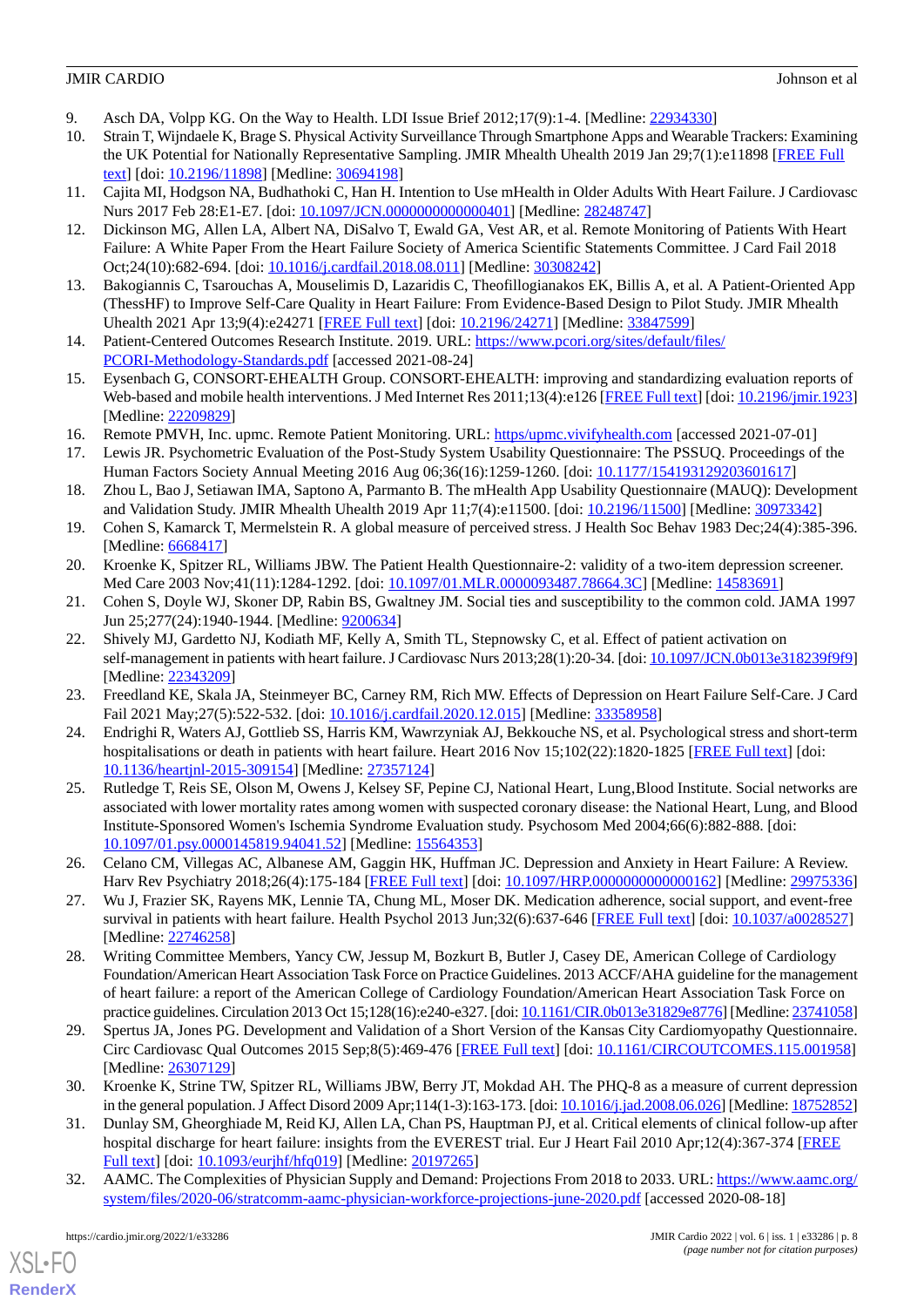- <span id="page-7-1"></span><span id="page-7-0"></span>9. Asch DA, Volpp KG. On the Way to Health. LDI Issue Brief 2012;17(9):1-4. [Medline: [22934330\]](http://www.ncbi.nlm.nih.gov/entrez/query.fcgi?cmd=Retrieve&db=PubMed&list_uids=22934330&dopt=Abstract)
- 10. Strain T, Wijndaele K, Brage S. Physical Activity Surveillance Through Smartphone Apps and Wearable Trackers: Examining the UK Potential for Nationally Representative Sampling. JMIR Mhealth Uhealth 2019 Jan 29;7(1):e11898 [\[FREE Full](https://mhealth.jmir.org/2019/1/e11898/) [text](https://mhealth.jmir.org/2019/1/e11898/)] [doi: [10.2196/11898\]](http://dx.doi.org/10.2196/11898) [Medline: [30694198\]](http://www.ncbi.nlm.nih.gov/entrez/query.fcgi?cmd=Retrieve&db=PubMed&list_uids=30694198&dopt=Abstract)
- <span id="page-7-3"></span><span id="page-7-2"></span>11. Cajita MI, Hodgson NA, Budhathoki C, Han H. Intention to Use mHealth in Older Adults With Heart Failure. J Cardiovasc Nurs 2017 Feb 28:E1-E7. [doi: [10.1097/JCN.0000000000000401\]](http://dx.doi.org/10.1097/JCN.0000000000000401) [Medline: [28248747](http://www.ncbi.nlm.nih.gov/entrez/query.fcgi?cmd=Retrieve&db=PubMed&list_uids=28248747&dopt=Abstract)]
- 12. Dickinson MG, Allen LA, Albert NA, DiSalvo T, Ewald GA, Vest AR, et al. Remote Monitoring of Patients With Heart Failure: A White Paper From the Heart Failure Society of America Scientific Statements Committee. J Card Fail 2018 Oct;24(10):682-694. [doi: [10.1016/j.cardfail.2018.08.011](http://dx.doi.org/10.1016/j.cardfail.2018.08.011)] [Medline: [30308242](http://www.ncbi.nlm.nih.gov/entrez/query.fcgi?cmd=Retrieve&db=PubMed&list_uids=30308242&dopt=Abstract)]
- <span id="page-7-5"></span><span id="page-7-4"></span>13. Bakogiannis C, Tsarouchas A, Mouselimis D, Lazaridis C, Theofillogianakos EK, Billis A, et al. A Patient-Oriented App (ThessHF) to Improve Self-Care Quality in Heart Failure: From Evidence-Based Design to Pilot Study. JMIR Mhealth Uhealth 2021 Apr 13;9(4):e24271 [[FREE Full text](https://mhealth.jmir.org/2021/4/e24271/)] [doi: [10.2196/24271\]](http://dx.doi.org/10.2196/24271) [Medline: [33847599](http://www.ncbi.nlm.nih.gov/entrez/query.fcgi?cmd=Retrieve&db=PubMed&list_uids=33847599&dopt=Abstract)]
- <span id="page-7-6"></span>14. Patient-Centered Outcomes Research Institute. 2019. URL: [https://www.pcori.org/sites/default/files/](https://www.pcori.org/sites/default/files/PCORI-Methodology-Standards.pdf) [PCORI-Methodology-Standards.pdf](https://www.pcori.org/sites/default/files/PCORI-Methodology-Standards.pdf) [accessed 2021-08-24]
- <span id="page-7-7"></span>15. Eysenbach G, CONSORT-EHEALTH Group. CONSORT-EHEALTH: improving and standardizing evaluation reports of Web-based and mobile health interventions. J Med Internet Res 2011;13(4):e126 [[FREE Full text](http://www.jmir.org/2011/4/e126/)] [doi: [10.2196/jmir.1923](http://dx.doi.org/10.2196/jmir.1923)] [Medline: [22209829](http://www.ncbi.nlm.nih.gov/entrez/query.fcgi?cmd=Retrieve&db=PubMed&list_uids=22209829&dopt=Abstract)]
- <span id="page-7-9"></span><span id="page-7-8"></span>16. Remote PMVH, Inc. upmc. Remote Patient Monitoring. URL: <https/upmc.vivifyhealth.com> [accessed 2021-07-01]
- 17. Lewis JR. Psychometric Evaluation of the Post-Study System Usability Questionnaire: The PSSUQ. Proceedings of the Human Factors Society Annual Meeting 2016 Aug 06;36(16):1259-1260. [doi: [10.1177/154193129203601617\]](http://dx.doi.org/10.1177/154193129203601617)
- <span id="page-7-10"></span>18. Zhou L, Bao J, Setiawan IMA, Saptono A, Parmanto B. The mHealth App Usability Questionnaire (MAUQ): Development and Validation Study. JMIR Mhealth Uhealth 2019 Apr 11;7(4):e11500. [doi: [10.2196/11500\]](http://dx.doi.org/10.2196/11500) [Medline: [30973342\]](http://www.ncbi.nlm.nih.gov/entrez/query.fcgi?cmd=Retrieve&db=PubMed&list_uids=30973342&dopt=Abstract)
- <span id="page-7-12"></span><span id="page-7-11"></span>19. Cohen S, Kamarck T, Mermelstein R. A global measure of perceived stress. J Health Soc Behav 1983 Dec;24(4):385-396. [Medline: [6668417\]](http://www.ncbi.nlm.nih.gov/entrez/query.fcgi?cmd=Retrieve&db=PubMed&list_uids=6668417&dopt=Abstract)
- <span id="page-7-13"></span>20. Kroenke K, Spitzer RL, Williams JBW. The Patient Health Questionnaire-2: validity of a two-item depression screener. Med Care 2003 Nov;41(11):1284-1292. [doi: [10.1097/01.MLR.0000093487.78664.3C\]](http://dx.doi.org/10.1097/01.MLR.0000093487.78664.3C) [Medline: [14583691\]](http://www.ncbi.nlm.nih.gov/entrez/query.fcgi?cmd=Retrieve&db=PubMed&list_uids=14583691&dopt=Abstract)
- 21. Cohen S, Doyle WJ, Skoner DP, Rabin BS, Gwaltney JM. Social ties and susceptibility to the common cold. JAMA 1997 Jun 25;277(24):1940-1944. [Medline: [9200634](http://www.ncbi.nlm.nih.gov/entrez/query.fcgi?cmd=Retrieve&db=PubMed&list_uids=9200634&dopt=Abstract)]
- <span id="page-7-15"></span>22. Shively MJ, Gardetto NJ, Kodiath MF, Kelly A, Smith TL, Stepnowsky C, et al. Effect of patient activation on self-management in patients with heart failure. J Cardiovasc Nurs 2013;28(1):20-34. [doi: [10.1097/JCN.0b013e318239f9f9\]](http://dx.doi.org/10.1097/JCN.0b013e318239f9f9) [Medline: [22343209](http://www.ncbi.nlm.nih.gov/entrez/query.fcgi?cmd=Retrieve&db=PubMed&list_uids=22343209&dopt=Abstract)]
- <span id="page-7-14"></span>23. Freedland KE, Skala JA, Steinmeyer BC, Carney RM, Rich MW. Effects of Depression on Heart Failure Self-Care. J Card Fail 2021 May; 27(5): 522-532. [doi: 10.1016/j.cardfail. 2020. 12.015] [Medline: [33358958\]](http://www.ncbi.nlm.nih.gov/entrez/query.fcgi?cmd=Retrieve&db=PubMed&list_uids=33358958&dopt=Abstract)
- 24. Endrighi R, Waters AJ, Gottlieb SS, Harris KM, Wawrzyniak AJ, Bekkouche NS, et al. Psychological stress and short-term hospitalisations or death in patients with heart failure. Heart 2016 Nov 15;102(22):1820-1825 [\[FREE Full text\]](http://europepmc.org/abstract/MED/27357124) [doi: [10.1136/heartjnl-2015-309154](http://dx.doi.org/10.1136/heartjnl-2015-309154)] [Medline: [27357124\]](http://www.ncbi.nlm.nih.gov/entrez/query.fcgi?cmd=Retrieve&db=PubMed&list_uids=27357124&dopt=Abstract)
- <span id="page-7-17"></span><span id="page-7-16"></span>25. Rutledge T, Reis SE, Olson M, Owens J, Kelsey SF, Pepine CJ, National Heart, Lung, Blood Institute. Social networks are associated with lower mortality rates among women with suspected coronary disease: the National Heart, Lung, and Blood Institute-Sponsored Women's Ischemia Syndrome Evaluation study. Psychosom Med 2004;66(6):882-888. [doi: [10.1097/01.psy.0000145819.94041.52](http://dx.doi.org/10.1097/01.psy.0000145819.94041.52)] [Medline: [15564353\]](http://www.ncbi.nlm.nih.gov/entrez/query.fcgi?cmd=Retrieve&db=PubMed&list_uids=15564353&dopt=Abstract)
- <span id="page-7-18"></span>26. Celano CM, Villegas AC, Albanese AM, Gaggin HK, Huffman JC. Depression and Anxiety in Heart Failure: A Review. Harv Rev Psychiatry 2018;26(4):175-184 [\[FREE Full text](http://europepmc.org/abstract/MED/29975336)] [doi: [10.1097/HRP.0000000000000162\]](http://dx.doi.org/10.1097/HRP.0000000000000162) [Medline: [29975336](http://www.ncbi.nlm.nih.gov/entrez/query.fcgi?cmd=Retrieve&db=PubMed&list_uids=29975336&dopt=Abstract)]
- 27. Wu J, Frazier SK, Rayens MK, Lennie TA, Chung ML, Moser DK. Medication adherence, social support, and event-free survival in patients with heart failure. Health Psychol 2013 Jun;32(6):637-646 [\[FREE Full text\]](http://europepmc.org/abstract/MED/22746258) [doi: [10.1037/a0028527\]](http://dx.doi.org/10.1037/a0028527) [Medline: [22746258](http://www.ncbi.nlm.nih.gov/entrez/query.fcgi?cmd=Retrieve&db=PubMed&list_uids=22746258&dopt=Abstract)]
- <span id="page-7-20"></span><span id="page-7-19"></span>28. Writing Committee Members, Yancy CW, Jessup M, Bozkurt B, Butler J, Casey DE, American College of Cardiology Foundation/American Heart Association Task Force on Practice Guidelines. 2013 ACCF/AHA guideline for the management of heart failure: a report of the American College of Cardiology Foundation/American Heart Association Task Force on practice guidelines. Circulation 2013 Oct 15;128(16):e240-e327. [doi: [10.1161/CIR.0b013e31829e8776\]](http://dx.doi.org/10.1161/CIR.0b013e31829e8776) [Medline: [23741058\]](http://www.ncbi.nlm.nih.gov/entrez/query.fcgi?cmd=Retrieve&db=PubMed&list_uids=23741058&dopt=Abstract)
- <span id="page-7-21"></span>29. Spertus JA, Jones PG. Development and Validation of a Short Version of the Kansas City Cardiomyopathy Questionnaire. Circ Cardiovasc Qual Outcomes 2015 Sep;8(5):469-476 [\[FREE Full text\]](http://europepmc.org/abstract/MED/26307129) [doi: [10.1161/CIRCOUTCOMES.115.001958](http://dx.doi.org/10.1161/CIRCOUTCOMES.115.001958)] [Medline: [26307129](http://www.ncbi.nlm.nih.gov/entrez/query.fcgi?cmd=Retrieve&db=PubMed&list_uids=26307129&dopt=Abstract)]
- <span id="page-7-22"></span>30. Kroenke K, Strine TW, Spitzer RL, Williams JBW, Berry JT, Mokdad AH. The PHQ-8 as a measure of current depression in the general population. J Affect Disord 2009 Apr;114(1-3):163-173. [doi: [10.1016/j.jad.2008.06.026](http://dx.doi.org/10.1016/j.jad.2008.06.026)] [Medline: [18752852\]](http://www.ncbi.nlm.nih.gov/entrez/query.fcgi?cmd=Retrieve&db=PubMed&list_uids=18752852&dopt=Abstract)
- 31. Dunlay SM, Gheorghiade M, Reid KJ, Allen LA, Chan PS, Hauptman PJ, et al. Critical elements of clinical follow-up after hospital discharge for heart failure: insights from the EVEREST trial. Eur J Heart Fail 2010 Apr;12(4):367-374 [\[FREE](https://doi.org/10.1093/eurjhf/hfq019) [Full text\]](https://doi.org/10.1093/eurjhf/hfq019) [doi: [10.1093/eurjhf/hfq019\]](http://dx.doi.org/10.1093/eurjhf/hfq019) [Medline: [20197265](http://www.ncbi.nlm.nih.gov/entrez/query.fcgi?cmd=Retrieve&db=PubMed&list_uids=20197265&dopt=Abstract)]
- 32. AAMC. The Complexities of Physician Supply and Demand: Projections From 2018 to 2033. URL: [https://www.aamc.org/](https://www.aamc.org/system/files/2020-06/stratcomm-aamc-physician-workforce-projections-june-2020.pdf) [system/files/2020-06/stratcomm-aamc-physician-workforce-projections-june-2020.pdf](https://www.aamc.org/system/files/2020-06/stratcomm-aamc-physician-workforce-projections-june-2020.pdf) [accessed 2020-08-18]

 $XS$  • FO **[RenderX](http://www.renderx.com/)**